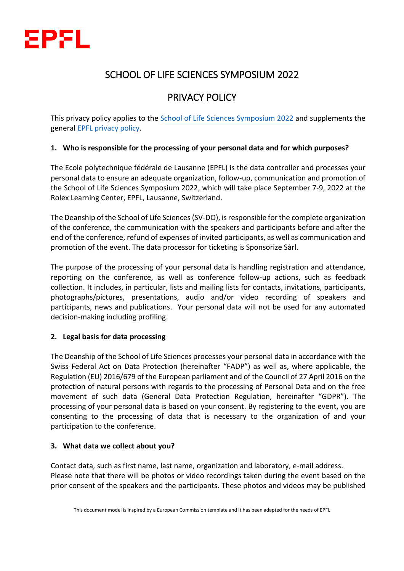

# SCHOOL OF LIFE SCIENCES SYMPOSIUM 2022

# PRIVACY POLICY

This privacy policy applies to the [School of Life Sciences Symposium 2022](https://lss2022.epfl.ch/) and supplements the general [EPFL privacy policy.](https://go.epfl.ch/privacy-policy)

## **1. Who is responsible for the processing of your personal data and for which purposes?**

The Ecole polytechnique fédérale de Lausanne (EPFL) is the data controller and processes your personal data to ensure an adequate organization, follow-up, communication and promotion of the School of Life Sciences Symposium 2022, which will take place September 7-9, 2022 at the Rolex Learning Center, EPFL, Lausanne, Switzerland.

The Deanship of the School of Life Sciences (SV-DO), is responsible for the complete organization of the conference, the communication with the speakers and participants before and after the end of the conference, refund of expenses of invited participants, as well as communication and promotion of the event. The data processor for ticketing is Sponsorize Sàrl.

The purpose of the processing of your personal data is handling registration and attendance, reporting on the conference, as well as conference follow-up actions, such as feedback collection. It includes, in particular, lists and mailing lists for contacts, invitations, participants, photographs/pictures, presentations, audio and/or video recording of speakers and participants, news and publications. Your personal data will not be used for any automated decision-making including profiling.

## **2. Legal basis for data processing**

The Deanship of the School of Life Sciences processes your personal data in accordance with the Swiss Federal Act on Data Protection (hereinafter "FADP") as well as, where applicable, the Regulation (EU) 2016/679 of the European parliament and of the Council of 27 April 2016 on the protection of natural persons with regards to the processing of Personal Data and on the free movement of such data (General Data Protection Regulation, hereinafter "GDPR"). The processing of your personal data is based on your consent. By registering to the event, you are consenting to the processing of data that is necessary to the organization of and your participation to the conference.

## **3. What data we collect about you?**

Contact data, such as first name, last name, organization and laboratory, e-mail address. Please note that there will be photos or video recordings taken during the event based on the prior consent of the speakers and the participants. These photos and videos may be published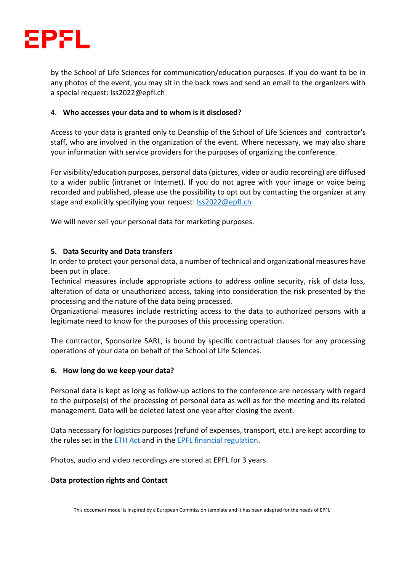

by the School of Life Sciences for communication/education purposes. If you do want to be in any photos of the event, you may sit in the back rows and send an email to the organizers with a special request: lss2022@epfl.ch

### 4. **Who accesses your data and to whom is it disclosed?**

Access to your data is granted only to Deanship of the School of Life Sciences and contractor's staff, who are involved in the organization of the event. Where necessary, we may also share your information with service providers for the purposes of organizing the conference.

For visibility/education purposes, personal data (pictures, video or audio recording) are diffused to a wider public (intranet or Internet). If you do not agree with your image or voice being recorded and published, please use the possibility to opt out by contacting the organizer at any stage and explicitly specifying your request: **Iss2022@epfl.ch** 

We will never sell your personal data for marketing purposes.

### **5. Data Security and Data transfers**

In order to protect your personal data, a number of technical and organizational measures have been put in place.

Technical measures include appropriate actions to address online security, risk of data loss, alteration of data or unauthorized access, taking into consideration the risk presented by the processing and the nature of the data being processed.

Organizational measures include restricting access to the data to authorized persons with a legitimate need to know for the purposes of this processing operation.

The contractor, Sponsorize SARL, is bound by specific contractual clauses for any processing operations of your data on behalf of the School of Life Sciences.

#### **6. How long do we keep your data?**

Personal data is kept as long as follow-up actions to the conference are necessary with regard to the purpose(s) of the processing of personal data as well as for the meeting and its related management. Data will be deleted latest one year after closing the event.

Data necessary for logistics purposes (refund of expenses, transport, etc.) are kept according to the rules set in the **[ETH Act](https://www.fedlex.admin.ch/eli/cc/1993/1945_1945_1945/fr)** and in the **EPFL** financial regulation.

Photos, audio and video recordings are stored at EPFL for 3 years.

#### **Data protection rights and Contact**